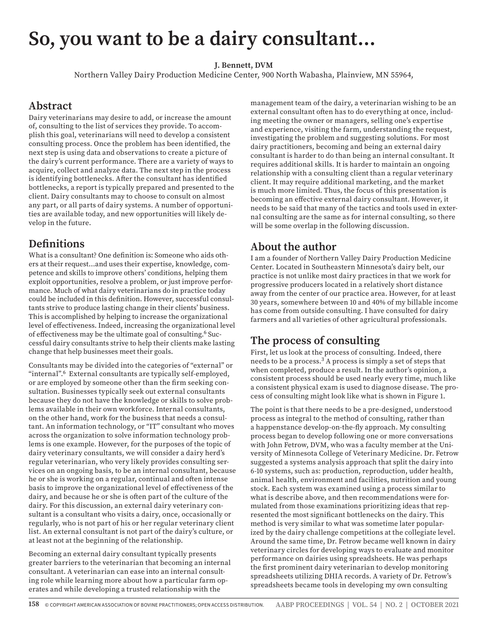# **So, you want to be a dairy consultant…**

#### **J. Bennett, DVM**

Northern Valley Dairy Production Medicine Center, 900 North Wabasha, Plainview, MN 55964,

#### **Abstract**

Dairy veterinarians may desire to add, or increase the amount of, consulting to the list of services they provide. To accomplish this goal, veterinarians will need to develop a consistent consulting process. Once the problem has been identified, the next step is using data and observations to create a picture of the dairy's current performance. There are a variety of ways to acquire, collect and analyze data. The next step in the process is identifying bottlenecks. After the consultant has identified bottlenecks, a report is typically prepared and presented to the client. Dairy consultants may to choose to consult on almost any part, or all parts of dairy systems. A number of opportunities are available today, and new opportunities will likely develop in the future.

#### **Definitions**

What is a consultant? One definition is: Someone who aids others at their request…and uses their expertise, knowledge, competence and skills to improve others' conditions, helping them exploit opportunities, resolve a problem, or just improve performance. Much of what dairy veterinarians do in practice today could be included in this definition. However, successful consultants strive to produce lasting change in their clients' business. This is accomplished by helping to increase the organizational level of effectiveness. Indeed, increasing the organizational level of effectiveness may be the ultimate goal of consulting.6 Successful dairy consultants strive to help their clients make lasting change that help businesses meet their goals.

Consultants may be divided into the categories of "external" or "internal".6 External consultants are typically self-employed, or are employed by someone other than the firm seeking consultation. Businesses typically seek out external consultants because they do not have the knowledge or skills to solve problems available in their own workforce. Internal consultants, on the other hand, work for the business that needs a consultant. An information technology, or "IT" consultant who moves across the organization to solve information technology problems is one example. However, for the purposes of the topic of dairy veterinary consultants, we will consider a dairy herd's regular veterinarian, who very likely provides consulting services on an ongoing basis, to be an internal consultant, because he or she is working on a regular, continual and often intense basis to improve the organizational level of effectiveness of the dairy, and because he or she is often part of the culture of the dairy. For this discussion, an external dairy veterinary consultant is a consultant who visits a dairy, once, occasionally or regularly, who is not part of his or her regular veterinary client list. An external consultant is not part of the dairy's culture, or at least not at the beginning of the relationship.

Becoming an external dairy consultant typically presents greater barriers to the veterinarian that becoming an internal consultant. A veterinarian can ease into an internal consulting role while learning more about how a particular farm operates and while developing a trusted relationship with the

management team of the dairy, a veterinarian wishing to be an external consultant often has to do everything at once, including meeting the owner or managers, selling one's expertise and experience, visiting the farm, understanding the request, investigating the problem and suggesting solutions. For most dairy practitioners, becoming and being an external dairy consultant is harder to do than being an internal consultant. It requires additional skills. It is harder to maintain an ongoing relationship with a consulting client than a regular veterinary client. It may require additional marketing, and the market is much more limited. Thus, the focus of this presentation is becoming an effective external dairy consultant. However, it needs to be said that many of the tactics and tools used in external consulting are the same as for internal consulting, so there will be some overlap in the following discussion.

#### **About the author**

I am a founder of Northern Valley Dairy Production Medicine Center. Located in Southeastern Minnesota's dairy belt, our practice is not unlike most dairy practices in that we work for progressive producers located in a relatively short distance away from the center of our practice area. However, for at least 30 years, somewhere between 10 and 40% of my billable income has come from outside consulting. I have consulted for dairy farmers and all varieties of other agricultural professionals.

# **The process of consulting**

First, let us look at the process of consulting. Indeed, there needs to be a process.<sup>3</sup> A process is simply a set of steps that when completed, produce a result. In the author's opinion, a consistent process should be used nearly every time, much like a consistent physical exam is used to diagnose disease. The process of consulting might look like what is shown in Figure 1.

The point is that there needs to be a pre-designed, understood process as integral to the method of consulting, rather than a happenstance develop-on-the-fly approach. My consulting process began to develop following one or more conversations with John Fetrow, DVM, who was a faculty member at the University of Minnesota College of Veterinary Medicine. Dr. Fetrow suggested a systems analysis approach that split the dairy into 6-10 systems, such as: production, reproduction, udder health, animal health, environment and facilities, nutrition and young stock. Each system was examined using a process similar to what is describe above, and then recommendations were formulated from those examinations prioritizing ideas that represented the most significant bottlenecks on the dairy. This method is very similar to what was sometime later popularized by the dairy challenge competitions at the collegiate level. Around the same time, Dr. Fetrow became well known in dairy veterinary circles for developing ways to evaluate and monitor performance on dairies using spreadsheets. He was perhaps the first prominent dairy veterinarian to develop monitoring spreadsheets utilizing DHIA records. A variety of Dr. Fetrow's spreadsheets became tools in developing my own consulting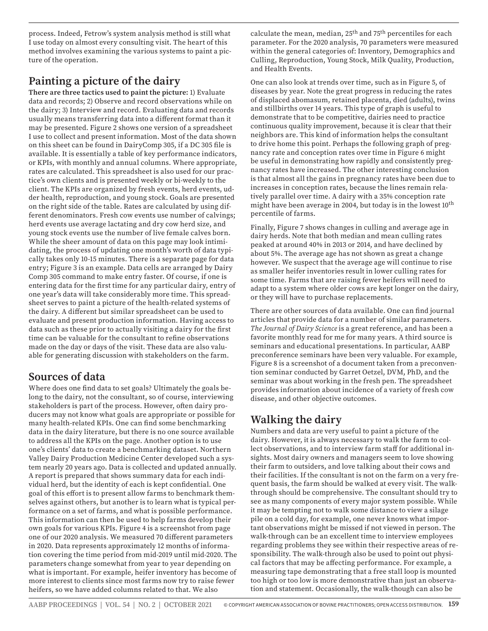process. Indeed, Fetrow's system analysis method is still what I use today on almost every consulting visit. The heart of this method involves examining the various systems to paint a picture of the operation.

# **Painting a picture of the dairy**

**There are three tactics used to paint the picture:** 1) Evaluate data and records; 2) Observe and record observations while on the dairy; 3) Interview and record. Evaluating data and records usually means transferring data into a different format than it may be presented. Figure 2 shows one version of a spreadsheet I use to collect and present information. Most of the data shown on this sheet can be found in DairyComp 305, if a DC 305 file is available. It is essentially a table of key performance indicators, or KPIs, with monthly and annual columns. Where appropriate, rates are calculated. This spreadsheet is also used for our practice's own clients and is presented weekly or bi-weekly to the client. The KPIs are organized by fresh events, herd events, udder health, reproduction, and young stock. Goals are presented on the right side of the table. Rates are calculated by using different denominators. Fresh cow events use number of calvings; herd events use average lactating and dry cow herd size, and young stock events use the number of live female calves born. While the sheer amount of data on this page may look intimidating, the process of updating one month's worth of data typically takes only 10-15 minutes. There is a separate page for data entry; Figure 3 is an example. Data cells are arranged by Dairy Comp 305 command to make entry faster. Of course, if one is entering data for the first time for any particular dairy, entry of one year's data will take considerably more time. This spreadsheet serves to paint a picture of the health-related systems of the dairy. A different but similar spreadsheet can be used to evaluate and present production information. Having access to data such as these prior to actually visiting a dairy for the first time can be valuable for the consultant to refine observations made on the day or days of the visit. These data are also valuable for generating discussion with stakeholders on the farm.

# **Sources of data**

Where does one find data to set goals? Ultimately the goals belong to the dairy, not the consultant, so of course, interviewing stakeholders is part of the process. However, often dairy producers may not know what goals are appropriate or possible for many health-related KPIs. One can find some benchmarking data in the dairy literature, but there is no one source available to address all the KPIs on the page. Another option is to use one's clients' data to create a benchmarking dataset. Northern Valley Dairy Production Medicine Center developed such a system nearly 20 years ago. Data is collected and updated annually. A report is prepared that shows summary data for each individual herd, but the identity of each is kept confidential. One goal of this effort is to present allow farms to benchmark themselves against others, but another is to learn what is typical performance on a set of farms, and what is possible performance. This information can then be used to help farms develop their own goals for various KPIs. Figure 4 is a screenshot from page one of our 2020 analysis. We measured 70 different parameters in 2020. Data represents approximately 12 months of information covering the time period from mid-2019 until mid-2020. The parameters change somewhat from year to year depending on what is important. For example, heifer inventory has become of more interest to clients since most farms now try to raise fewer heifers, so we have added columns related to that. We also

calculate the mean, median, 25th and 75th percentiles for each parameter. For the 2020 analysis, 70 parameters were measured within the general categories of: Inventory, Demographics and Culling, Reproduction, Young Stock, Milk Quality, Production, and Health Events.

One can also look at trends over time, such as in Figure 5, of diseases by year. Note the great progress in reducing the rates of displaced abomasum, retained placenta, died (adults), twins and stillbirths over 14 years. This type of graph is useful to demonstrate that to be competitive, dairies need to practice continuous quality improvement, because it is clear that their neighbors are. This kind of information helps the consultant to drive home this point. Perhaps the following graph of pregnancy rate and conception rates over time in Figure 6 might be useful in demonstrating how rapidly and consistently pregnancy rates have increased. The other interesting conclusion is that almost all the gains in pregnancy rates have been due to increases in conception rates, because the lines remain relatively parallel over time. A dairy with a 35% conception rate might have been average in 2004, but today is in the lowest 10<sup>th</sup> percentile of farms.

Finally, Figure 7 shows changes in culling and average age in dairy herds. Note that both median and mean culling rates peaked at around 40% in 2013 or 2014, and have declined by about 5%. The average age has not shown as great a change however. We suspect that the average age will continue to rise as smaller heifer inventories result in lower culling rates for some time. Farms that are raising fewer heifers will need to adapt to a system where older cows are kept longer on the dairy, or they will have to purchase replacements.

There are other sources of data available. One can find journal articles that provide data for a number of similar parameters. *The Journal of Dairy Science* is a great reference, and has been a favorite monthly read for me for many years. A third source is seminars and educational presentations. In particular, AABP preconference seminars have been very valuable. For example, Figure 8 is a screenshot of a document taken from a preconvention seminar conducted by Garret Oetzel, DVM, PhD, and the seminar was about working in the fresh pen. The spreadsheet provides information about incidence of a variety of fresh cow disease, and other objective outcomes.

# **Walking the dairy**

Numbers and data are very useful to paint a picture of the dairy. However, it is always necessary to walk the farm to collect observations, and to interview farm staff for additional insights. Most dairy owners and managers seem to love showing their farm to outsiders, and love talking about their cows and their facilities. If the consultant is not on the farm on a very frequent basis, the farm should be walked at every visit. The walkthrough should be comprehensive. The consultant should try to see as many components of every major system possible. While it may be tempting not to walk some distance to view a silage pile on a cold day, for example, one never knows what important observations might be missed if not viewed in person. The walk-through can be an excellent time to interview employees regarding problems they see within their respective areas of responsibility. The walk-through also be used to point out physical factors that may be affecting performance. For example, a measuring tape demonstrating that a free stall loop is mounted too high or too low is more demonstrative than just an observation and statement. Occasionally, the walk-though can also be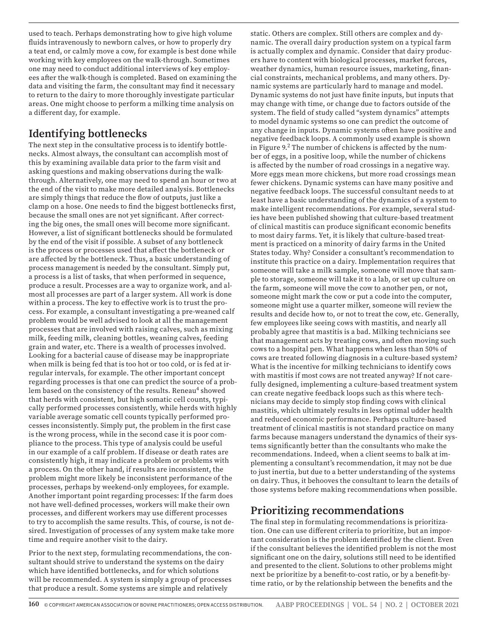used to teach. Perhaps demonstrating how to give high volume fluids intravenously to newborn calves, or how to properly dry a teat end, or calmly move a cow, for example is best done while working with key employees on the walk-through. Sometimes one may need to conduct additional interviews of key employees after the walk-though is completed. Based on examining the data and visiting the farm, the consultant may find it necessary to return to the dairy to more thoroughly investigate particular areas. One might choose to perform a milking time analysis on a different day, for example.

# **Identifying bottlenecks**

The next step in the consultative process is to identify bottlenecks. Almost always, the consultant can accomplish most of this by examining available data prior to the farm visit and asking questions and making observations during the walkthrough. Alternatively, one may need to spend an hour or two at the end of the visit to make more detailed analysis. Bottlenecks are simply things that reduce the flow of outputs, just like a clamp on a hose. One needs to find the biggest bottlenecks first, because the small ones are not yet significant. After correcting the big ones, the small ones will become more significant. However, a list of significant bottlenecks should be formulated by the end of the visit if possible. A subset of any bottleneck is the process or processes used that affect the bottleneck or are affected by the bottleneck. Thus, a basic understanding of process management is needed by the consultant. Simply put, a process is a list of tasks, that when performed in sequence, produce a result. Processes are a way to organize work, and almost all processes are part of a larger system. All work is done within a process. The key to effective work is to trust the process. For example, a consultant investigating a pre-weaned calf problem would be well advised to look at all the management processes that are involved with raising calves, such as mixing milk, feeding milk, cleaning bottles, weaning calves, feeding grain and water, etc. There is a wealth of processes involved. Looking for a bacterial cause of disease may be inappropriate when milk is being fed that is too hot or too cold, or is fed at irregular intervals, for example. The other important concept regarding processes is that one can predict the source of a problem based on the consistency of the results. Reneau<sup>4</sup> showed that herds with consistent, but high somatic cell counts, typically performed processes consistently, while herds with highly variable average somatic cell counts typically performed processes inconsistently. Simply put, the problem in the first case is the wrong process, while in the second case it is poor compliance to the process. This type of analysis could be useful in our example of a calf problem. If disease or death rates are consistently high, it may indicate a problem or problems with a process. On the other hand, if results are inconsistent, the problem might more likely be inconsistent performance of the processes, perhaps by weekend-only employees, for example. Another important point regarding processes: If the farm does not have well-defined processes, workers will make their own processes, and different workers may use different processes to try to accomplish the same results. This, of course, is not desired. Investigation of processes of any system make take more time and require another visit to the dairy.

Prior to the next step, formulating recommendations, the consultant should strive to understand the systems on the dairy which have identified bottlenecks, and for which solutions will be recommended. A system is simply a group of processes that produce a result. Some systems are simple and relatively

static. Others are complex. Still others are complex and dynamic. The overall dairy production system on a typical farm is actually complex and dynamic. Consider that dairy producers have to content with biological processes, market forces, weather dynamics, human resource issues, marketing, financial constraints, mechanical problems, and many others. Dynamic systems are particularly hard to manage and model. Dynamic systems do not just have finite inputs, but inputs that may change with time, or change due to factors outside of the system. The field of study called "system dynamics" attempts to model dynamic systems so one can predict the outcome of any change in inputs. Dynamic systems often have positive and negative feedback loops. A commonly used example is shown in Figure  $9<sup>2</sup>$ . The number of chickens is affected by the number of eggs, in a positive loop, while the number of chickens is affected by the number of road crossings in a negative way. More eggs mean more chickens, but more road crossings mean fewer chickens. Dynamic systems can have many positive and negative feedback loops. The successful consultant needs to at least have a basic understanding of the dynamics of a system to make intelligent recommendations. For example, several studies have been published showing that culture-based treatment of clinical mastitis can produce significant economic benefits to most dairy farms. Yet, it is likely that culture-based treatment is practiced on a minority of dairy farms in the United States today. Why? Consider a consultant's recommendation to institute this practice on a dairy. Implementation requires that someone will take a milk sample, someone will move that sample to storage, someone will take it to a lab, or set up culture on the farm, someone will move the cow to another pen, or not, someone might mark the cow or put a code into the computer, someone might use a quarter milker, someone will review the results and decide how to, or not to treat the cow, etc. Generally, few employees like seeing cows with mastitis, and nearly all probably agree that mastitis is a bad. Milking technicians see that management acts by treating cows, and often moving such cows to a hospital pen. What happens when less than 50% of cows are treated following diagnosis in a culture-based system? What is the incentive for milking technicians to identify cows with mastitis if most cows are not treated anyway? If not carefully designed, implementing a culture-based treatment system can create negative feedback loops such as this where technicians may decide to simply stop finding cows with clinical mastitis, which ultimately results in less optimal udder health and reduced economic performance. Perhaps culture-based treatment of clinical mastitis is not standard practice on many farms because managers understand the dynamics of their systems significantly better than the consultants who make the recommendations. Indeed, when a client seems to balk at implementing a consultant's recommendation, it may not be due to just inertia, but due to a better understanding of the systems on dairy. Thus, it behooves the consultant to learn the details of those systems before making recommendations when possible.

# **Prioritizing recommendations**

The final step in formulating recommendations is prioritization. One can use different criteria to prioritize, but an important consideration is the problem identified by the client. Even if the consultant believes the identified problem is not the most significant one on the dairy, solutions still need to be identified and presented to the client. Solutions to other problems might next be prioritize by a benefit-to-cost ratio, or by a benefit-bytime ratio, or by the relationship between the benefits and the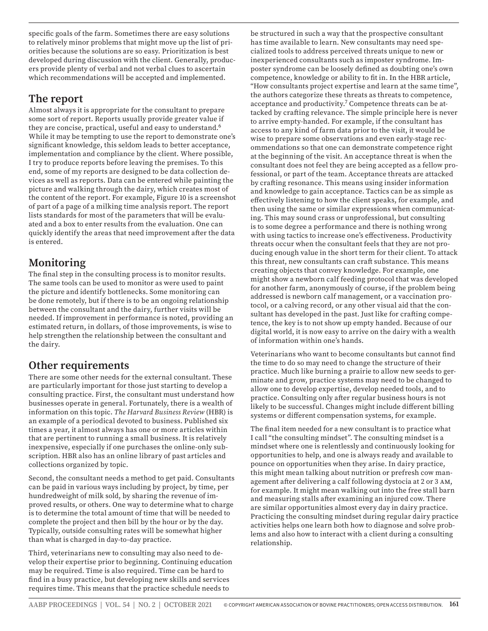specific goals of the farm. Sometimes there are easy solutions to relatively minor problems that might move up the list of priorities because the solutions are so easy. Prioritization is best developed during discussion with the client. Generally, producers provide plenty of verbal and not verbal clues to ascertain which recommendations will be accepted and implemented.

#### **The report**

Almost always it is appropriate for the consultant to prepare some sort of report. Reports usually provide greater value if they are concise, practical, useful and easy to understand.<sup>6</sup> While it may be tempting to use the report to demonstrate one's significant knowledge, this seldom leads to better acceptance, implementation and compliance by the client. Where possible, I try to produce reports before leaving the premises. To this end, some of my reports are designed to be data collection devices as well as reports. Data can be entered while painting the picture and walking through the dairy, which creates most of the content of the report. For example, Figure 10 is a screenshot of part of a page of a milking time analysis report. The report lists standards for most of the parameters that will be evaluated and a box to enter results from the evaluation. One can quickly identify the areas that need improvement after the data is entered.

# **Monitoring**

The final step in the consulting process is to monitor results. The same tools can be used to monitor as were used to paint the picture and identify bottlenecks. Some monitoring can be done remotely, but if there is to be an ongoing relationship between the consultant and the dairy, further visits will be needed. If improvement in performance is noted, providing an estimated return, in dollars, of those improvements, is wise to help strengthen the relationship between the consultant and the dairy.

#### **Other requirements**

There are some other needs for the external consultant. These are particularly important for those just starting to develop a consulting practice. First, the consultant must understand how businesses operate in general. Fortunately, there is a wealth of information on this topic. *The Harvard Business Review* (HBR) is an example of a periodical devoted to business. Published six times a year, it almost always has one or more articles within that are pertinent to running a small business. It is relatively inexpensive, especially if one purchases the online-only subscription. HBR also has an online library of past articles and collections organized by topic.

Second, the consultant needs a method to get paid. Consultants can be paid in various ways including by project, by time, per hundredweight of milk sold, by sharing the revenue of improved results, or others. One way to determine what to charge is to determine the total amount of time that will be needed to complete the project and then bill by the hour or by the day. Typically, outside consulting rates will be somewhat higher than what is charged in day-to-day practice.

Third, veterinarians new to consulting may also need to develop their expertise prior to beginning. Continuing education may be required. Time is also required. Time can be hard to find in a busy practice, but developing new skills and services requires time. This means that the practice schedule needs to

be structured in such a way that the prospective consultant has time available to learn. New consultants may need specialized tools to address perceived threats unique to new or inexperienced consultants such as imposter syndrome. Imposter syndrome can be loosely defined as doubting one's own competence, knowledge or ability to fit in. In the HBR article, "How consultants project expertise and learn at the same time", the authors categorize these threats as threats to competence, acceptance and productivity.<sup>7</sup> Competence threats can be attacked by crafting relevance. The simple principle here is never to arrive empty-handed. For example, if the consultant has access to any kind of farm data prior to the visit, it would be wise to prepare some observations and even early-stage recommendations so that one can demonstrate competence right at the beginning of the visit. An acceptance threat is when the consultant does not feel they are being accepted as a fellow professional, or part of the team. Acceptance threats are attacked by crafting resonance. This means using insider information and knowledge to gain acceptance. Tactics can be as simple as effectively listening to how the client speaks, for example, and then using the same or similar expressions when communicating. This may sound crass or unprofessional, but consulting is to some degree a performance and there is nothing wrong with using tactics to increase one's effectiveness. Productivity threats occur when the consultant feels that they are not producing enough value in the short term for their client. To attack this threat, new consultants can craft substance. This means creating objects that convey knowledge. For example, one might show a newborn calf feeding protocol that was developed for another farm, anonymously of course, if the problem being addressed is newborn calf management, or a vaccination protocol, or a calving record, or any other visual aid that the consultant has developed in the past. Just like for crafting competence, the key is to not show up empty handed. Because of our digital world, it is now easy to arrive on the dairy with a wealth of information within one's hands.

Veterinarians who want to become consultants but cannot find the time to do so may need to change the structure of their practice. Much like burning a prairie to allow new seeds to germinate and grow, practice systems may need to be changed to allow one to develop expertise, develop needed tools, and to practice. Consulting only after regular business hours is not likely to be successful. Changes might include different billing systems or different compensation systems, for example.

The final item needed for a new consultant is to practice what I call "the consulting mindset". The consulting mindset is a mindset where one is relentlessly and continuously looking for opportunities to help, and one is always ready and available to pounce on opportunities when they arise. In dairy practice, this might mean talking about nutrition or prefresh cow management after delivering a calf following dystocia at 2 or 3 am, for example. It might mean walking out into the free stall barn and measuring stalls after examining an injured cow. There are similar opportunities almost every day in dairy practice. Practicing the consulting mindset during regular dairy practice activities helps one learn both how to diagnose and solve problems and also how to interact with a client during a consulting relationship.